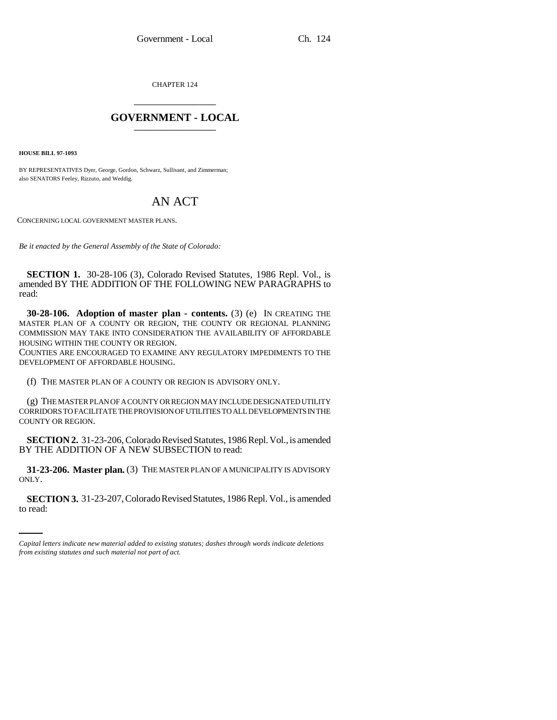CHAPTER 124 \_\_\_\_\_\_\_\_\_\_\_\_\_\_\_

## **GOVERNMENT - LOCAL** \_\_\_\_\_\_\_\_\_\_\_\_\_\_\_

**HOUSE BILL 97-1093**

BY REPRESENTATIVES Dyer, George, Gordon, Schwarz, Sullivant, and Zimmerman; also SENATORS Feeley, Rizzuto, and Weddig.

## AN ACT

CONCERNING LOCAL GOVERNMENT MASTER PLANS.

*Be it enacted by the General Assembly of the State of Colorado:*

**SECTION 1.** 30-28-106 (3), Colorado Revised Statutes, 1986 Repl. Vol., is amended BY THE ADDITION OF THE FOLLOWING NEW PARAGRAPHS to read:

**30-28-106.** Adoption of master plan - contents. (3) (e) IN CREATING THE MASTER PLAN OF A COUNTY OR REGION, THE COUNTY OR REGIONAL PLANNING COMMISSION MAY TAKE INTO CONSIDERATION THE AVAILABILITY OF AFFORDABLE HOUSING WITHIN THE COUNTY OR REGION.

COUNTIES ARE ENCOURAGED TO EXAMINE ANY REGULATORY IMPEDIMENTS TO THE DEVELOPMENT OF AFFORDABLE HOUSING.

(f) THE MASTER PLAN OF A COUNTY OR REGION IS ADVISORY ONLY.

(g) THE MASTER PLAN OF A COUNTY OR REGION MAY INCLUDE DESIGNATED UTILITY CORRIDORS TO FACILITATE THE PROVISION OF UTILITIES TO ALL DEVELOPMENTS IN THE COUNTY OR REGION.

**SECTION 2.** 31-23-206, Colorado Revised Statutes, 1986 Repl. Vol., is amended BY THE ADDITION OF A NEW SUBSECTION to read:

ONLY. **31-23-206. Master plan.** (3) THE MASTER PLAN OF A MUNICIPALITY IS ADVISORY

**SECTION 3.** 31-23-207, Colorado Revised Statutes, 1986 Repl. Vol., is amended to read:

*Capital letters indicate new material added to existing statutes; dashes through words indicate deletions from existing statutes and such material not part of act.*